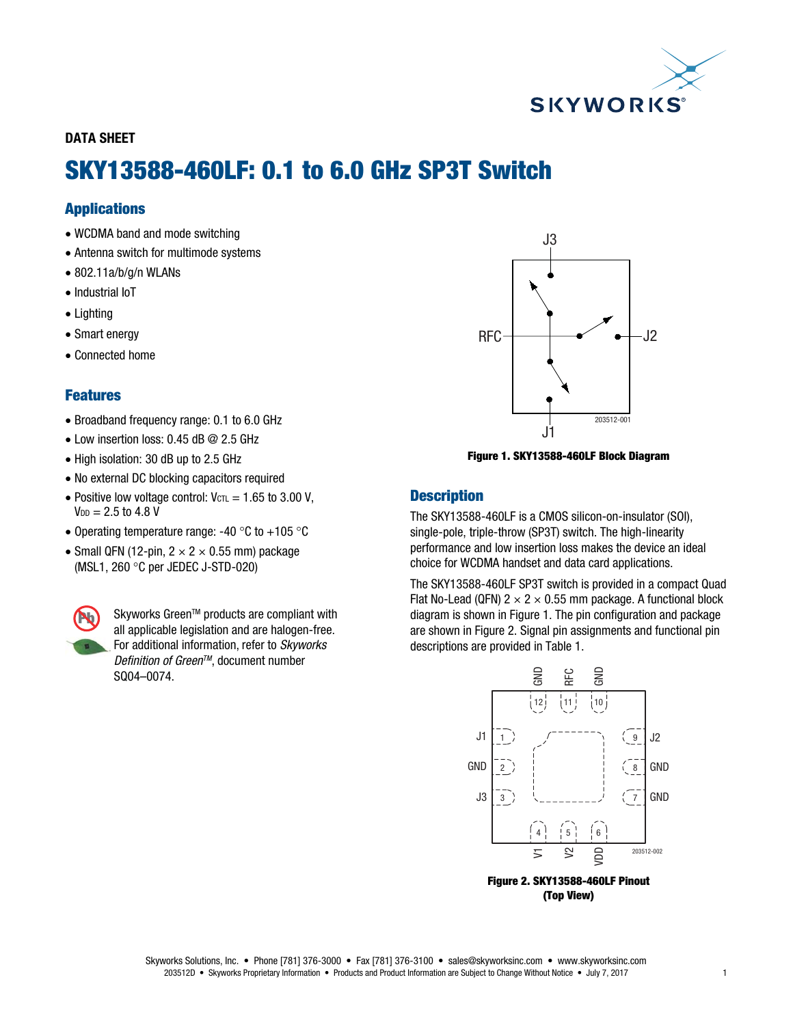

DATA SHEET

# SKY13588-460LF: 0.1 to 6.0 GHz SP3T Switch

# Applications

- WCDMA band and mode switching
- Antenna switch for multimode systems
- 802.11a/b/g/n WLANs
- Industrial IoT
- Lighting
- Smart energy
- Connected home

# Features

- Broadband frequency range: 0.1 to 6.0 GHz
- Low insertion loss: 0.45 dB @ 2.5 GHz
- High isolation: 30 dB up to 2.5 GHz
- No external DC blocking capacitors required
- Positive low voltage control:  $V_{\text{CTL}} = 1.65$  to 3.00 V,  $V_{DD} = 2.5$  to 4.8 V
- Operating temperature range: -40  $\degree$ C to +105  $\degree$ C
- Small QFN (12-pin,  $2 \times 2 \times 0.55$  mm) package (MSL1, 260 $\degree$ C per JEDEC J-STD-020)



Skyworks Green™ products are compliant with all applicable legislation and are halogen-free. For additional information, refer to Skyworks Definition of Green™, document number SQ04–0074.



Figure 1. SKY13588-460LF Block Diagram

# **Description**

The SKY13588-460LF is a CMOS silicon-on-insulator (SOI), single-pole, triple-throw (SP3T) switch. The high-linearity performance and low insertion loss makes the device an ideal choice for WCDMA handset and data card applications.

The SKY13588-460LF SP3T switch is provided in a compact Quad Flat No-Lead (QFN)  $2 \times 2 \times 0.55$  mm package. A functional block diagram is shown in Figure 1. The pin configuration and package are shown in Figure 2. Signal pin assignments and functional pin descriptions are provided in Table 1.



(Top View)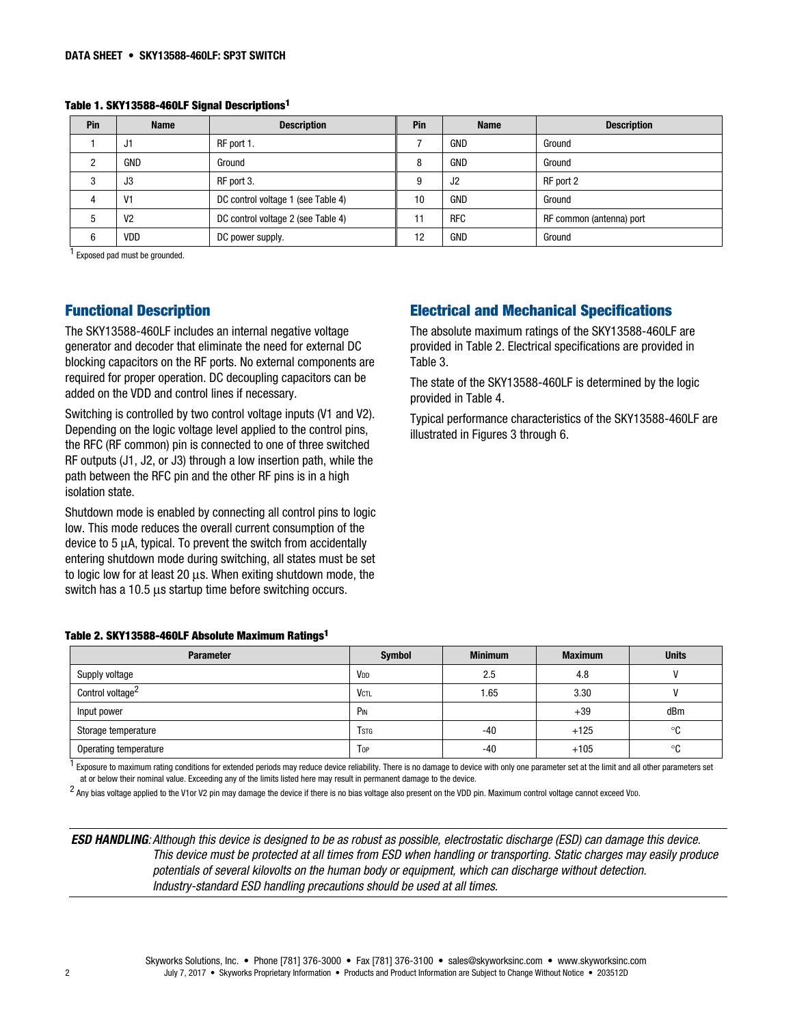Table 1. SKY13588-460LF Signal Descriptions1

| Pin | <b>Name</b>    | <b>Description</b>                 | Pin | <b>Name</b> | <b>Description</b>       |
|-----|----------------|------------------------------------|-----|-------------|--------------------------|
|     | J1             | RF port 1.                         |     | GND         | Ground                   |
|     | <b>GND</b>     | Ground                             | 8   | <b>GND</b>  | Ground                   |
|     | J3             | RF port 3.                         | 9   | J2          | RF port 2                |
|     | V <sub>1</sub> | DC control voltage 1 (see Table 4) | 10  | <b>GND</b>  | Ground                   |
|     | V <sub>2</sub> | DC control voltage 2 (see Table 4) | 11  | <b>RFC</b>  | RF common (antenna) port |
|     | VDD            | DC power supply.                   | 12  | GND         | Ground                   |

1 Exposed pad must be grounded.

## Functional Description

The SKY13588-460LF includes an internal negative voltage generator and decoder that eliminate the need for external DC blocking capacitors on the RF ports. No external components are required for proper operation. DC decoupling capacitors can be added on the VDD and control lines if necessary.

Switching is controlled by two control voltage inputs (V1 and V2). Depending on the logic voltage level applied to the control pins, the RFC (RF common) pin is connected to one of three switched RF outputs (J1, J2, or J3) through a low insertion path, while the path between the RFC pin and the other RF pins is in a high isolation state.

Shutdown mode is enabled by connecting all control pins to logic low. This mode reduces the overall current consumption of the device to 5 μA, typical. To prevent the switch from accidentally entering shutdown mode during switching, all states must be set to logic low for at least 20 μs. When exiting shutdown mode, the switch has a 10.5 μs startup time before switching occurs.

# Electrical and Mechanical Specifications

The absolute maximum ratings of the SKY13588-460LF are provided in Table 2. Electrical specifications are provided in Table 3.

The state of the SKY13588-460LF is determined by the logic provided in Table 4.

Typical performance characteristics of the SKY13588-460LF are illustrated in Figures 3 through 6.

|  | Table 2. SKY13588-460LF Absolute Maximum Ratings <sup>1</sup> |  |  |  |  |
|--|---------------------------------------------------------------|--|--|--|--|
|--|---------------------------------------------------------------|--|--|--|--|

| <b>Parameter</b>             | Symbol          | <b>Minimum</b> | <b>Maximum</b> | <b>Units</b> |
|------------------------------|-----------------|----------------|----------------|--------------|
| Supply voltage               | V <sub>DD</sub> | 2.5            | 4.8            |              |
| Control voltage <sup>2</sup> | <b>VCTL</b>     | 1.65           | 3.30           |              |
| Input power                  | P <sub>IN</sub> |                | $+39$          | dBm          |
| Storage temperature          | <b>T</b> stg    | $-40$          | $+125$         | °C           |
| Operating temperature        | Top             | -40            | $+105$         | ∘c           |

 $^{\text{1}}$  Exposure to maximum rating conditions for extended periods may reduce device reliability. There is no damage to device with only one parameter set at the limit and all other parameters set at or below their nominal value. Exceeding any of the limits listed here may result in permanent damage to the device.

<sup>2</sup> Anv bias voltage applied to the V1 or V2 pin may damage the device if there is no bias voltage also present on the VDD pin. Maximum control voltage cannot exceed VDD.

ESD HANDLING: Although this device is designed to be as robust as possible, electrostatic discharge (ESD) can damage this device. This device must be protected at all times from ESD when handling or transporting. Static charges may easily produce potentials of several kilovolts on the human body or equipment, which can discharge without detection. Industry-standard ESD handling precautions should be used at all times.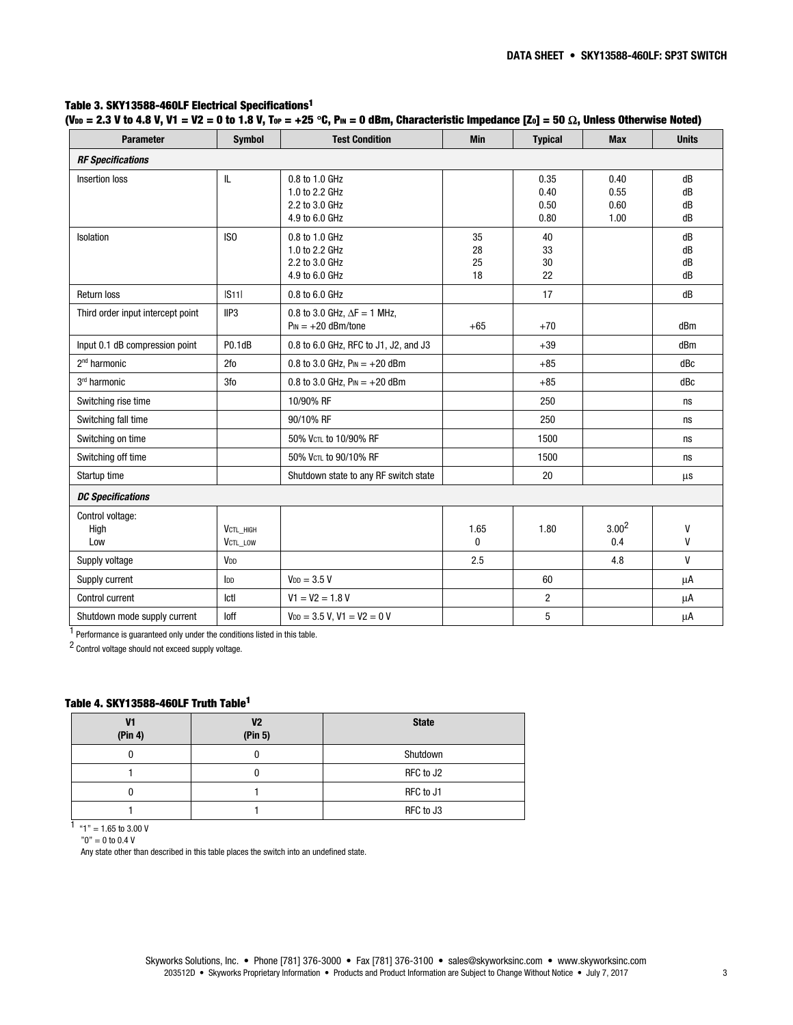#### Table 3. SKY13588-460LF Electrical Specifications1

|  |  |  | (V <sub>DD</sub> = 2.3 V to 4.8 V, V1 = V2 = 0 to 1.8 V, Tor = +25 °C, Pm = 0 dBm, Characteristic Impedance [Zo] = 50 $\Omega$ , Unless Otherwise Noted) |
|--|--|--|----------------------------------------------------------------------------------------------------------------------------------------------------------|
|  |  |  |                                                                                                                                                          |

| <b>Parameter</b>                  | <b>Symbol</b>              | <b>Test Condition</b>                                                | <b>Min</b>           | <b>Typical</b>               | <b>Max</b>                   | <b>Units</b>         |
|-----------------------------------|----------------------------|----------------------------------------------------------------------|----------------------|------------------------------|------------------------------|----------------------|
| <b>RF Specifications</b>          |                            |                                                                      |                      |                              |                              |                      |
| Insertion loss                    | IL                         | 0.8 to 1.0 GHz<br>1.0 to 2.2 GHz<br>2.2 to 3.0 GHz<br>4.9 to 6.0 GHz |                      | 0.35<br>0.40<br>0.50<br>0.80 | 0.40<br>0.55<br>0.60<br>1.00 | dB<br>dB<br>dB<br>dB |
| Isolation                         | IS <sub>0</sub>            | 0.8 to 1.0 GHz<br>1.0 to 2.2 GHz<br>2.2 to 3.0 GHz<br>4.9 to 6.0 GHz | 35<br>28<br>25<br>18 | 40<br>33<br>30<br>22         |                              | dB<br>dB<br>dB<br>dB |
| Return loss                       | S11                        | 0.8 to 6.0 GHz                                                       |                      | 17                           |                              | dB                   |
| Third order input intercept point | IIP <sub>3</sub>           | 0.8 to 3.0 GHz, $\Delta F = 1$ MHz,<br>$P_{IN} = +20$ dBm/tone       | $+65$                | $+70$                        |                              | dBm                  |
| Input 0.1 dB compression point    | P0.1dB                     | 0.8 to 6.0 GHz, RFC to J1, J2, and J3                                |                      | $+39$                        |                              | dBm                  |
| 2 <sup>nd</sup> harmonic          | 2fo                        | 0.8 to 3.0 GHz, $P_{IN} = +20$ dBm                                   |                      | $+85$                        |                              | dBc                  |
| 3rd harmonic                      | 3fo                        | 0.8 to 3.0 GHz, $P_{IN} = +20$ dBm                                   |                      | $+85$                        |                              | dBc                  |
| Switching rise time               |                            | 10/90% RF                                                            |                      | 250                          |                              | ns                   |
| Switching fall time               |                            | 90/10% RF                                                            |                      | 250                          |                              | ns                   |
| Switching on time                 |                            | 50% VCTL to 10/90% RF                                                |                      | 1500                         |                              | ns                   |
| Switching off time                |                            | 50% VCTL to 90/10% RF                                                |                      | 1500                         |                              | ns                   |
| Startup time                      |                            | Shutdown state to any RF switch state                                |                      | 20                           |                              | μs                   |
| <b>DC Specifications</b>          |                            |                                                                      |                      |                              |                              |                      |
| Control voltage:<br>High<br>Low   | VCTL HIGH<br>VCTL_LOW      |                                                                      | 1.65<br>$\mathbf{0}$ | 1.80                         | 3.00 <sup>2</sup><br>0.4     | V<br>V               |
| Supply voltage                    | V <sub>DD</sub>            |                                                                      | 2.5                  |                              | 4.8                          | $\mathsf{V}$         |
| Supply current                    | $\mathsf{I}_{\mathsf{DD}}$ | $V_{DD} = 3.5 V$                                                     |                      | 60                           |                              | μA                   |
| Control current                   | Ictl                       | $V1 = V2 = 1.8 V$                                                    |                      | $\overline{2}$               |                              | μA                   |
| Shutdown mode supply current      | loff                       | $V_{DD} = 3.5 V$ , $V1 = V2 = 0 V$                                   |                      | 5                            |                              | μA                   |

1 Performance is guaranteed only under the conditions listed in this table.

2 Control voltage should not exceed supply voltage.

#### Table 4. SKY13588-460LF Truth Table1

| V1<br>(Pin 4) | V <sub>2</sub><br>(Pin 5) | <b>State</b> |
|---------------|---------------------------|--------------|
|               |                           | Shutdown     |
|               |                           | RFC to J2    |
|               |                           | RFC to J1    |
|               |                           | RFC to J3    |

1 "1" = 1.65 to 3.00 V

 $"0" = 0$  to 0.4  $\textnormal{V}$ 

Any state other than described in this table places the switch into an undefined state.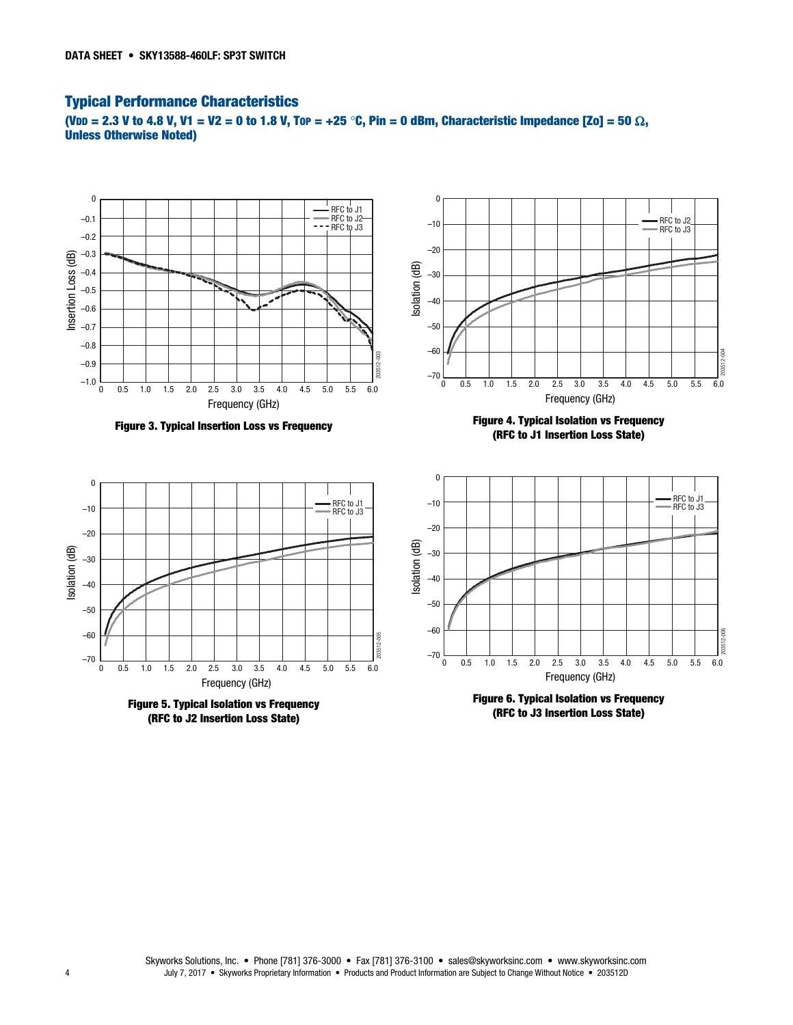# Typical Performance Characteristics

(VDD = 2.3 V to 4.8 V, V1 = V2 = 0 to 1.8 V, TOP = +25 °C, Pin = 0 dBm, Characteristic Impedance [Zo] = 50  $\Omega$ , Unless Otherwise Noted)







Figure 4. Typical Isolation vs Frequency (RFC to J1 Insertion Loss State)









Isolation (dB)

Isolation (dB)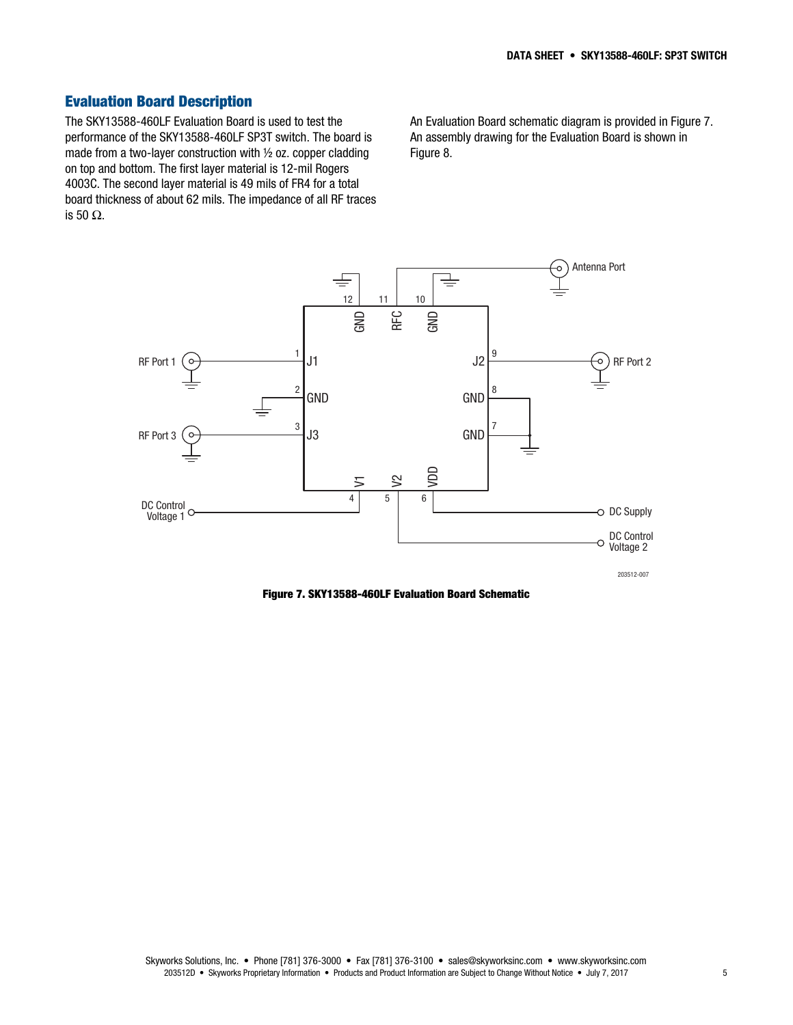# Evaluation Board Description

The SKY13588-460LF Evaluation Board is used to test the performance of the SKY13588-460LF SP3T switch. The board is made from a two-layer construction with ½ oz. copper cladding on top and bottom. The first layer material is 12-mil Rogers 4003C. The second layer material is 49 mils of FR4 for a total board thickness of about 62 mils. The impedance of all RF traces is 50 Ω.

An Evaluation Board schematic diagram is provided in Figure 7. An assembly drawing for the Evaluation Board is shown in Figure 8.



Figure 7. SKY13588-460LF Evaluation Board Schematic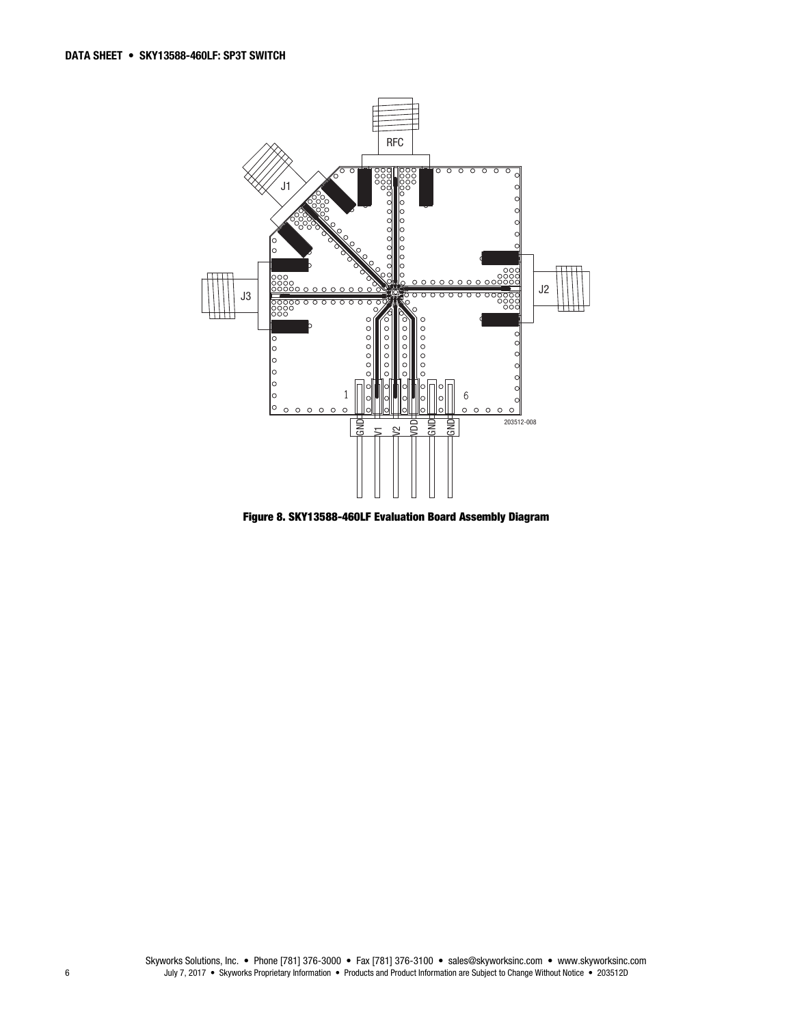

Figure 8. SKY13588-460LF Evaluation Board Assembly Diagram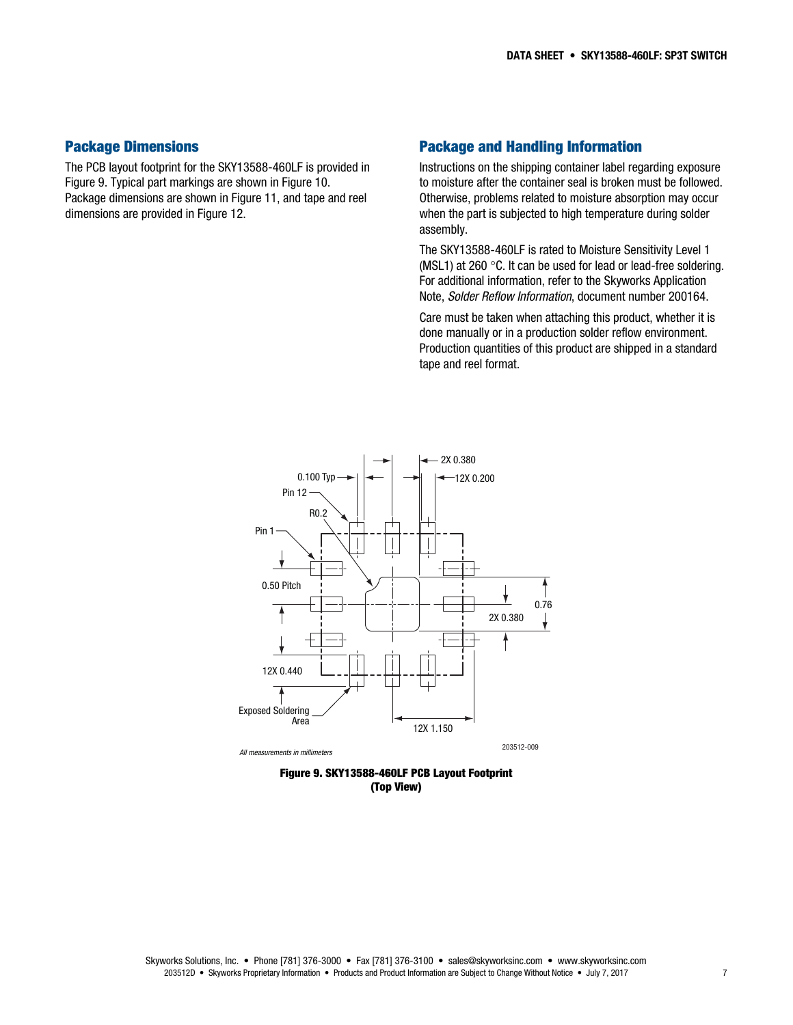#### Package Dimensions

The PCB layout footprint for the SKY13588-460LF is provided in Figure 9. Typical part markings are shown in Figure 10. Package dimensions are shown in Figure 11, and tape and reel dimensions are provided in Figure 12.

#### Package and Handling Information

Instructions on the shipping container label regarding exposure to moisture after the container seal is broken must be followed. Otherwise, problems related to moisture absorption may occur when the part is subjected to high temperature during solder assembly.

The SKY13588-460LF is rated to Moisture Sensitivity Level 1 (MSL1) at 260 $\degree$ C. It can be used for lead or lead-free soldering. For additional information, refer to the Skyworks Application Note, Solder Reflow Information, document number 200164.

Care must be taken when attaching this product, whether it is done manually or in a production solder reflow environment. Production quantities of this product are shipped in a standard tape and reel format.



Figure 9. SKY13588-460LF PCB Layout Footprint (Top View)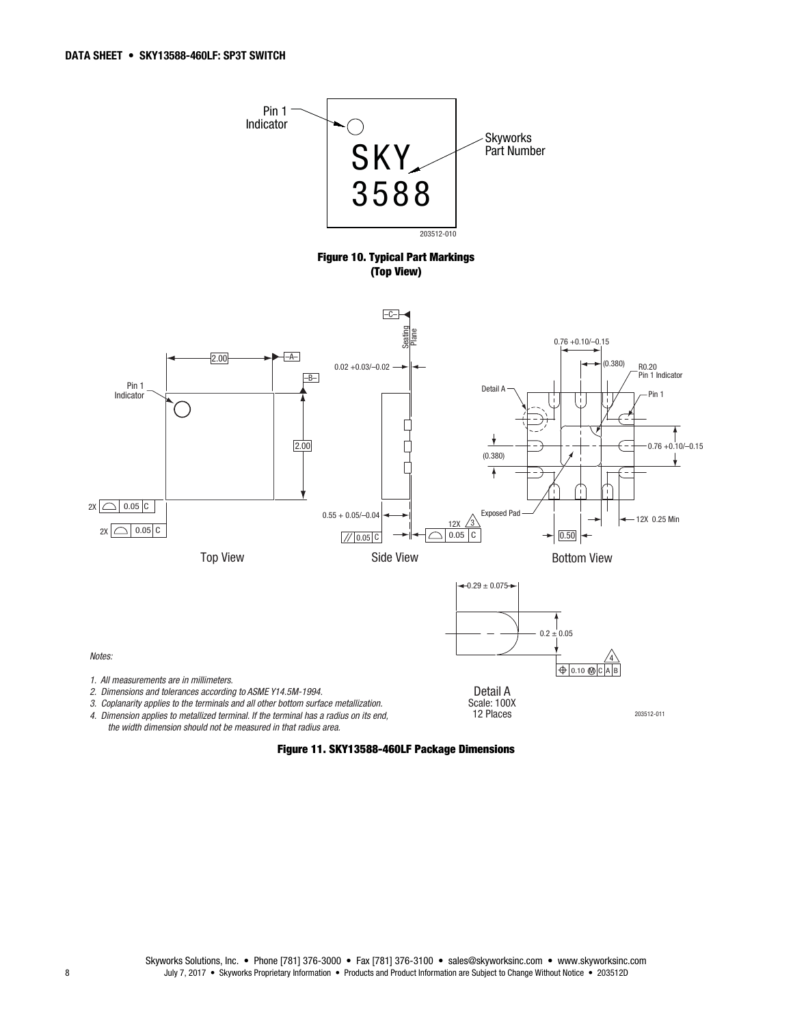

the width dimension should not be measured in that radius area.

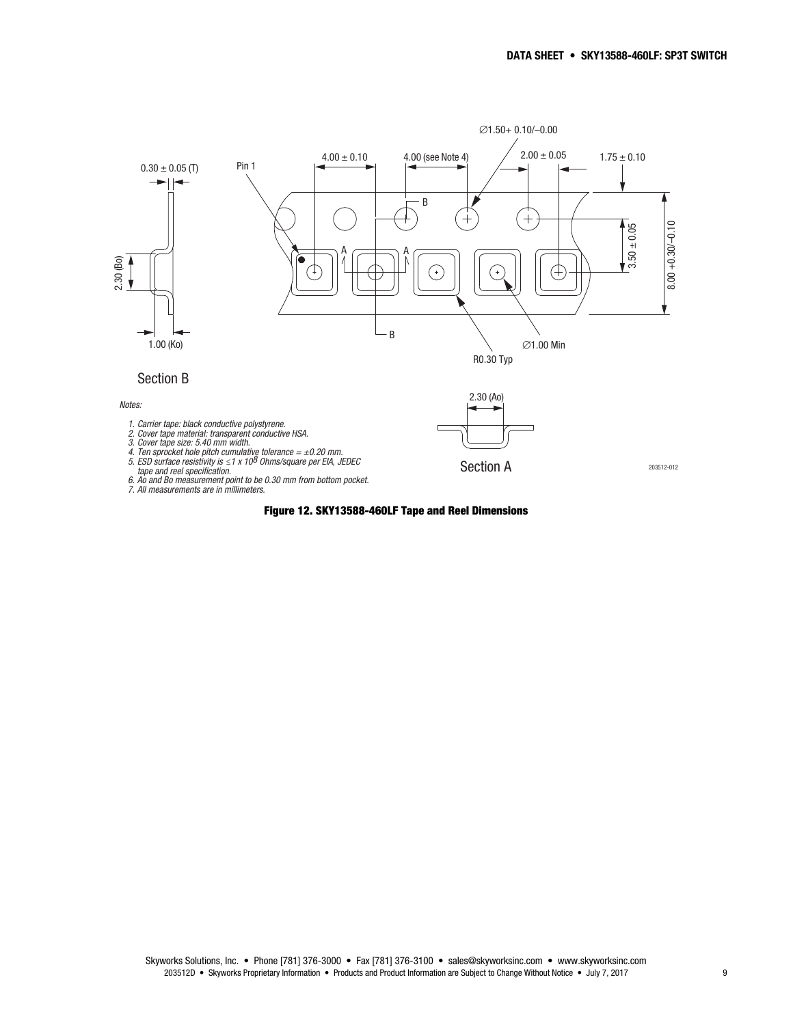

#### Figure 12. SKY13588-460LF Tape and Reel Dimensions